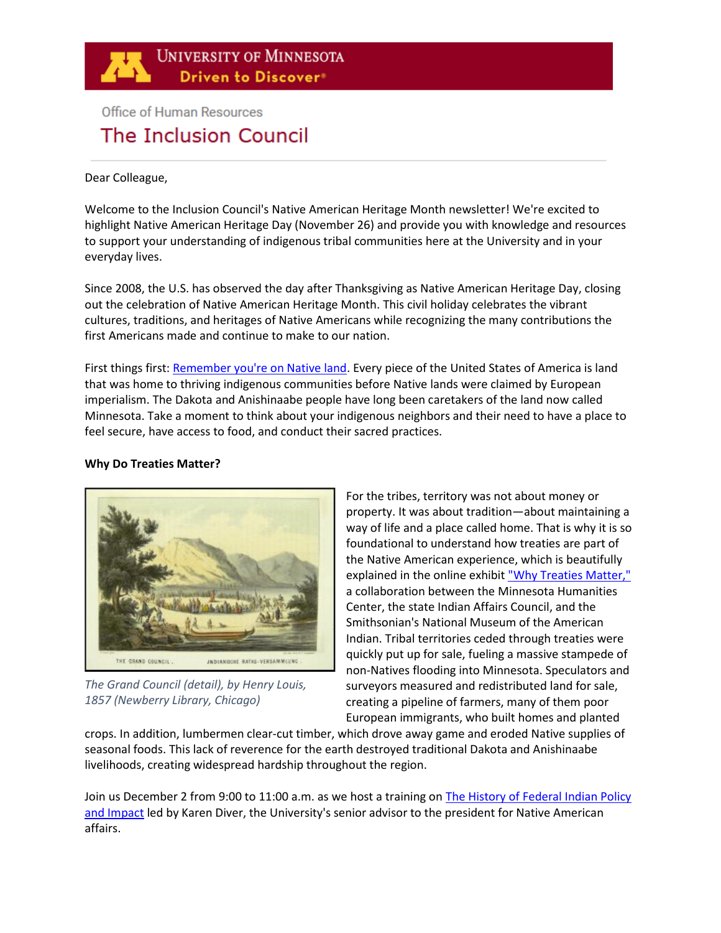

# **Office of Human Resources** The Inclusion Council

Dear Colleague,

Welcome to the Inclusion Council's Native American Heritage Month newsletter! We're excited to highlight Native American Heritage Day (November 26) and provide you with knowledge and resources to support your understanding of indigenous tribal communities here at the University and in your everyday lives.

Since 2008, the U.S. has observed the day after Thanksgiving as Native American Heritage Day, closing out the celebration of Native American Heritage Month. This civil holiday celebrates the vibrant cultures, traditions, and heritages of Native Americans while recognizing the many contributions the first Americans made and continue to make to our nation.

First things first[: Remember you're on Native land.](https://www.indigenousgeotags.com/) Every piece of the United States of America is land that was home to thriving indigenous communities before Native lands were claimed by European imperialism. The Dakota and Anishinaabe people have long been caretakers of the land now called Minnesota. Take a moment to think about your indigenous neighbors and their need to have a place to feel secure, have access to food, and conduct their sacred practices.

#### **Why Do Treaties Matter?**



*The Grand Council (detail), by Henry Louis, 1857 (Newberry Library, Chicago)*

For the tribes, territory was not about money or property. It was about tradition—about maintaining a way of life and a place called home. That is why it is so foundational to understand how treaties are part of the Native American experience, which is beautifully explained in the online exhibi[t "Why Treaties Matter,"](http://treatiesmatter.org/exhibit/) a collaboration between the Minnesota Humanities Center, the state Indian Affairs Council, and the Smithsonian's National Museum of the American Indian. Tribal territories ceded through treaties were quickly put up for sale, fueling a massive stampede of non-Natives flooding into Minnesota. Speculators and surveyors measured and redistributed land for sale, creating a pipeline of farmers, many of them poor European immigrants, who built homes and planted

crops. In addition, lumbermen clear-cut timber, which drove away game and eroded Native supplies of seasonal foods. This lack of reverence for the earth destroyed traditional Dakota and Anishinaabe livelihoods, creating widespread hardship throughout the region.

Join us December 2 from 9:00 to 11:00 a.m. as we host a training on **The History of Federal Indian Policy** [and Impact](https://umn.zoom.us/j/94023521116?pwd=VSsxTVVZQjlEWUFGU0lJbDkwWEY4QT09) led by Karen Diver, the University's senior advisor to the president for Native American affairs.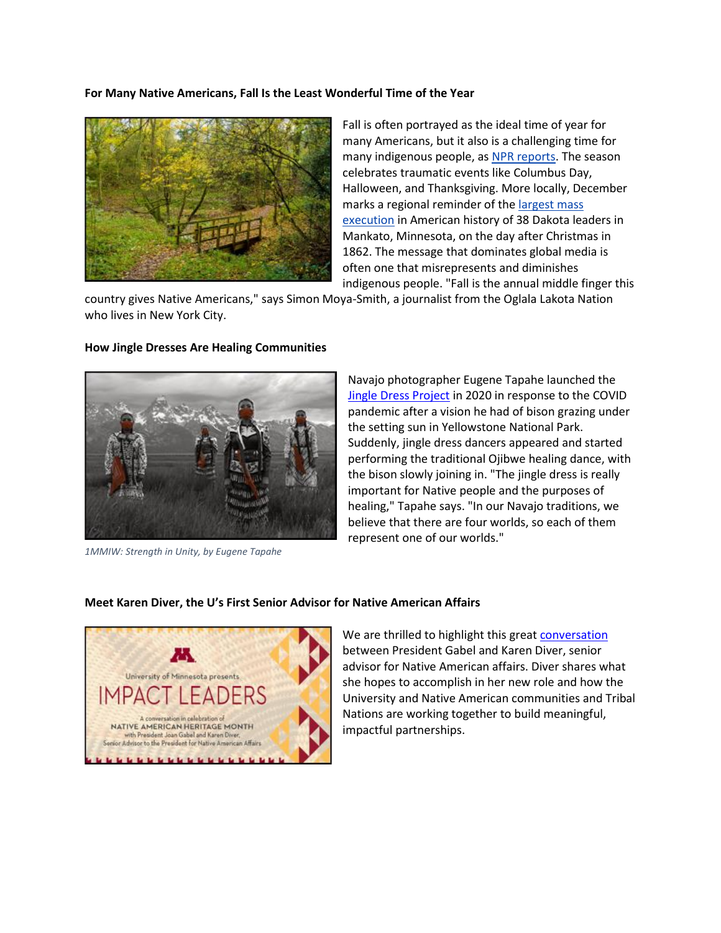#### **For Many Native Americans, Fall Is the Least Wonderful Time of the Year**



Fall is often portrayed as the ideal time of year for many Americans, but it also is a challenging time for many indigenous people, as [NPR reports.](https://www.npr.org/sections/codeswitch/2017/11/23/565437994/for-many-native-americans-fall-is-the-least-wonderful-time-of-the-year) The season celebrates traumatic events like Columbus Day, Halloween, and Thanksgiving. More locally, December marks a regional reminder of the [largest mass](https://indiancountrytoday.com/news/traumatic-true-history-full-list-dakota-38)  [execution](https://indiancountrytoday.com/news/traumatic-true-history-full-list-dakota-38) in American history of 38 Dakota leaders in Mankato, Minnesota, on the day after Christmas in 1862. The message that dominates global media is often one that misrepresents and diminishes indigenous people. "Fall is the annual middle finger this

country gives Native Americans," says Simon Moya-Smith, a journalist from the Oglala Lakota Nation who lives in New York City.

#### **How Jingle Dresses Are Healing Communities**



*1MMIW: Strength in Unity, by Eugene Tapahe*

Navajo photographer Eugene Tapahe launched the [Jingle Dress Project](https://www.vogue.com/article/jingle-dress-project-indigenous-design?utm_source=facebook&utm_medium=social&utm_campaign=onsite-share&utm_brand=vogue&utm_social-type=earned&fbclid=IwAR2s3-vuN8m4hl9C42Cjjypyq15_9_FIbJOz6hxSJIYzNwjzusPsNivS7SE) in 2020 in response to the COVID pandemic after a vision he had of bison grazing under the setting sun in Yellowstone National Park. Suddenly, jingle dress dancers appeared and started performing the traditional Ojibwe healing dance, with the bison slowly joining in. "The jingle dress is really important for Native people and the purposes of healing," Tapahe says. "In our Navajo traditions, we believe that there are four worlds, so each of them represent one of our worlds."

#### **Meet Karen Diver, the U's First Senior Advisor for Native American Affairs**



We are thrilled to highlight this grea[t conversation](https://www.youtube.com/watch?v=_aTvp5VHpiA) between President Gabel and Karen Diver, senior advisor for Native American affairs. Diver shares what she hopes to accomplish in her new role and how the University and Native American communities and Tribal Nations are working together to build meaningful, impactful partnerships.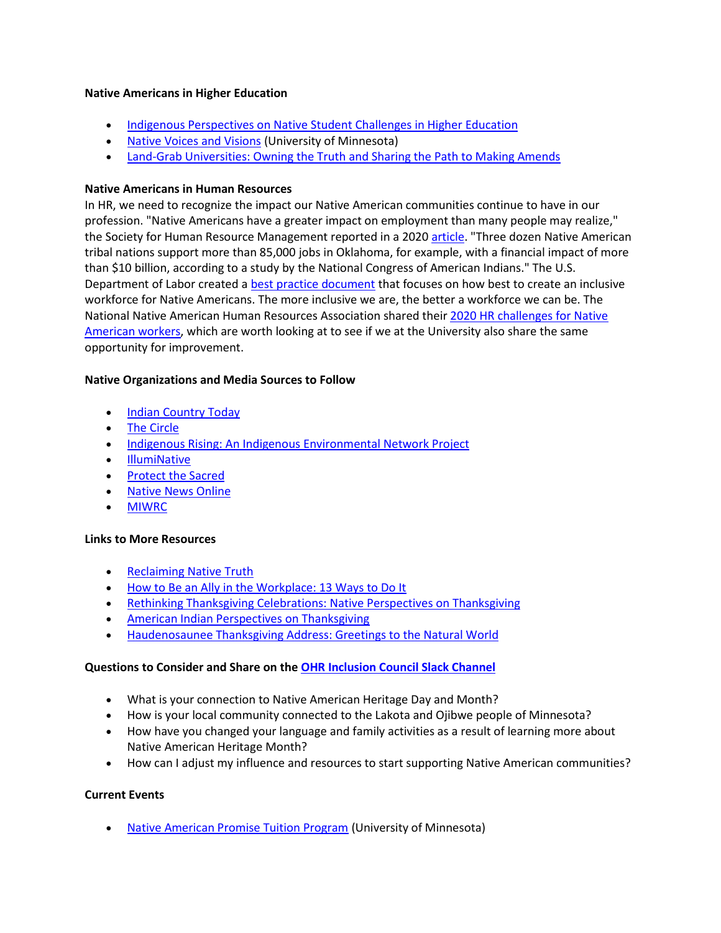#### **Native Americans in Higher Education**

- [Indigenous Perspectives on Native Student Challenges in Higher Education](https://www.higheredtoday.org/2020/01/28/indigenous-perspectives-native-student-challenges-higher-education/)
- [Native Voices and Visions](https://twin-cities.umn.edu/news-events/native-voices-and-visions) (University of Minnesota)
- [Land-Grab Universities: Owning the Truth and Sharing the Path to Making Amends](https://youtu.be/RzsptKrXLRE)

#### **Native Americans in Human Resources**

In HR, we need to recognize the impact our Native American communities continue to have in our profession. "Native Americans have a greater impact on employment than many people may realize," the Society for Human Resource Management reported in a 2020 [article.](https://www.shrm.org/about-shrm/news-about-shrm/pages/shrm-state-council-at-work-on-native-american-initiative-.aspx) "Three dozen Native American tribal nations support more than 85,000 jobs in Oklahoma, for example, with a financial impact of more than \$10 billion, according to a study by the National Congress of American Indians." The U.S. Department of Labor created a [best practice document](https://www.dol.gov/agencies/ofccp/compliance-assistance/outreach/indians-native-americans/best-practices) that focuses on how best to create an inclusive workforce for Native Americans. The more inclusive we are, the better a workforce we can be. The National Native American Human Resources Association shared thei[r 2020 HR challenges for Native](https://www.redw.com/blog/2020/10/30/top-tribal-hr-challenges-in-2020/)  [American workers,](https://www.redw.com/blog/2020/10/30/top-tribal-hr-challenges-in-2020/) which are worth looking at to see if we at the University also share the same opportunity for improvement.

# **Native Organizations and Media Sources to Follow**

- [Indian Country Today](https://indiancountrytoday.com/)
- [The Circle](https://thecirclenews.org/)
- [Indigenous Rising: An Indigenous Environmental Network Project](https://indigenousrising.org/)
- [IllumiNative](https://illuminatives.org/)
- [Protect the Sacred](https://www.protectthesacred.care/)
- [Native News Online](https://nativenewsonline.net/)
- [MIWRC](https://www.miwrc.org/)

# **Links to More Resources**

- [Reclaiming Native Truth](https://rnt.firstnations.org/)
- [How to Be an Ally in the Workplace: 13 Ways to Do It](https://ideas.ted.com/how-to-be-an-ally-in-the-workplace-13-ways-to-do-it/?utm_content=2021-10-21&utm_medium=social&utm_source=facebook.com&utm_campaign=social&fbclid=IwAR24EqV0XhQt0i8CZq8QTwcdv-DjIr1xcCneqJ_cAC7NEJGbXjuQX0rpYyQ)
- [Rethinking Thanksgiving Celebrations: Native Perspectives on Thanksgiving](https://americanindian.si.edu/nk360/informational/rethinking-thanksgiving)
- [American Indian Perspectives on Thanksgiving](https://americanindian.si.edu/sites/1/files/pdf/education/thanksgiving_poster.pdf)
- [Haudenosaunee Thanksgiving Address: Greetings to the Natural World](https://americanindian.si.edu/environment/pdf/01_02_Thanksgiving_Address.pdf)

# **Questions to Consider and Share on th[e OHR Inclusion Council Slack Channel](https://app.slack.com/client/T016T4MRDPH/C0176FHCHBP)**

- What is your connection to Native American Heritage Day and Month?
- How is your local community connected to the Lakota and Ojibwe people of Minnesota?
- How have you changed your language and family activities as a result of learning more about Native American Heritage Month?
- How can I adjust my influence and resources to start supporting Native American communities?

# **Current Events**

• [Native American Promise Tuition Program](https://system.umn.edu/native-american-promise-tuition-program) (University of Minnesota)